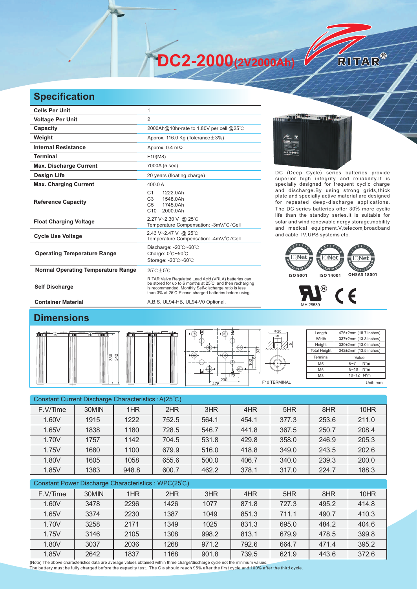**DC2-2000(2V2000Ah)** 

## **Specification**

| <b>Cells Per Unit</b>                     | 1                                                                                                                                                                                                                                   |
|-------------------------------------------|-------------------------------------------------------------------------------------------------------------------------------------------------------------------------------------------------------------------------------------|
| <b>Voltage Per Unit</b>                   | $\overline{2}$                                                                                                                                                                                                                      |
| Capacity                                  | 2000Ah@10hr-rate to 1.80V per cell @25°C                                                                                                                                                                                            |
| Weight                                    | Approx. 116.0 Kg (Tolerance $\pm$ 3%)                                                                                                                                                                                               |
| <b>Internal Resistance</b>                | Approx. $0.4 \text{ m}\Omega$                                                                                                                                                                                                       |
| <b>Terminal</b>                           | F10(M8)                                                                                                                                                                                                                             |
| <b>Max. Discharge Current</b>             | 7000A (5 sec)                                                                                                                                                                                                                       |
| Design Life                               | 20 years (floating charge)                                                                                                                                                                                                          |
| <b>Max. Charging Current</b>              | 400.0 A                                                                                                                                                                                                                             |
| <b>Reference Capacity</b>                 | 1222.0Ah<br>C <sub>1</sub><br>1548.0Ah<br>C <sub>3</sub><br>1745.0Ah<br>C <sub>5</sub><br>C10<br>2000.0Ah                                                                                                                           |
| <b>Float Charging Voltage</b>             | 2.27 V~2.30 V @ 25°C<br>Temperature Compensation: -3mV/°C/Cell                                                                                                                                                                      |
| <b>Cycle Use Voltage</b>                  | 2.43 V~2.47 V @ 25°C<br>Temperature Compensation: -4mV/°C/Cell                                                                                                                                                                      |
| <b>Operating Temperature Range</b>        | Discharge: -20°C~60°C<br>Charge: 0°C~50°C<br>Storage: - 20°C~60°C                                                                                                                                                                   |
| <b>Normal Operating Temperature Range</b> | $25^{\circ}$ C + 5 $^{\circ}$ C                                                                                                                                                                                                     |
| <b>Self Discharge</b>                     | RITAR Valve Regulated Lead Acid (VRLA) batteries can<br>be stored for up to 6 months at 25°C and then recharging<br>is recommended. Monthly Self-discharge ratio is less<br>than 3% at 25°C. Please charged batteries before using. |

**NEW WAY OF THE**  $A \times 0$ 

DC (Deep Cycle) series batteries provide superior high integrity and reliability.It is specially designed for frequent cyclic charge and discharge.By using strong grids,thick plate and specially active material are designed for repeated deep-discharge applications. The DC series batteries offer 30% more cyclic life than the standby series.It is suitable for solar and wind renewable nergy storage,mobility and medical equipment,V,telecom,broadband and cable TV,UPS systems etc.

RITAR®





55

## **Dimensions**



| ĺe.        |  |
|------------|--|
| 342<br>330 |  |

**Container Material Container Material A.B.S. UL94-HB, UL94-V0 Optional.** 

| 337<br>ķο  | $\Phi$ 20<br>M <sub>8</sub><br>и |
|------------|----------------------------------|
| 230<br>476 | F10 TERMINAL                     |

| Length              | 476±2mm (18.7 inches) |  |  |  |  |
|---------------------|-----------------------|--|--|--|--|
| Width               | 337±2mm (13.3 inches) |  |  |  |  |
| Height              | 330±2mm (13.0 inches) |  |  |  |  |
| <b>Total Height</b> | 342±2mm (13.5 inches) |  |  |  |  |
| Terminal            | Value                 |  |  |  |  |
| M <sub>5</sub>      | $N^*m$<br>$6 - 7$     |  |  |  |  |
| M <sub>6</sub>      | $N^*m$<br>$8 - 10$    |  |  |  |  |
| M <sub>8</sub>      | 10~12 N*m             |  |  |  |  |
|                     | Unit: mm              |  |  |  |  |

| Constant Current Discharge Characteristics: A(25°C) |       |       |       |       |       |       |       |       |
|-----------------------------------------------------|-------|-------|-------|-------|-------|-------|-------|-------|
| F.V/Time                                            | 30MIN | 1HR   | 2HR   | 3HR   | 4HR   | 5HR   | 8HR   | 10HR  |
| 1.60V                                               | 1915  | 1222  | 752.5 | 564.1 | 454.1 | 377.3 | 253.6 | 211.0 |
| 1.65V                                               | 1838  | 1180  | 728.5 | 546.7 | 441.8 | 367.5 | 250.7 | 208.4 |
| 1.70V                                               | 1757  | 1142  | 704.5 | 531.8 | 429.8 | 358.0 | 246.9 | 205.3 |
| 1.75V                                               | 1680  | 1100  | 679.9 | 516.0 | 418.8 | 349.0 | 243.5 | 202.6 |
| 1.80V                                               | 1605  | 1058  | 655.6 | 500.0 | 406.7 | 340.0 | 239.3 | 200.0 |
| 1.85V                                               | 1383  | 948.8 | 600.7 | 462.2 | 378.1 | 317.0 | 224.7 | 188.3 |
|                                                     |       |       |       |       |       |       |       |       |

| Constant Power Discharge Characteristics: WPC(25°C) |       |      |      |       |       |       |       |       |
|-----------------------------------------------------|-------|------|------|-------|-------|-------|-------|-------|
| F.V/Time                                            | 30MIN | 1HR  | 2HR  | 3HR   | 4HR   | 5HR   | 8HR   | 10HR  |
| 1.60V                                               | 3478  | 2296 | 1426 | 1077  | 871.8 | 727.3 | 495.2 | 414.8 |
| 1.65V                                               | 3374  | 2230 | 1387 | 1049  | 851.3 | 711.1 | 490.7 | 410.3 |
| 1.70V                                               | 3258  | 2171 | 1349 | 1025  | 831.3 | 695.0 | 484.2 | 404.6 |
| 1.75V                                               | 3146  | 2105 | 1308 | 998.2 | 813.1 | 679.9 | 478.5 | 399.8 |
| 1.80V                                               | 3037  | 2036 | 1268 | 971.2 | 792.6 | 664.7 | 471.4 | 395.2 |
| 1.85V                                               | 2642  | 1837 | 1168 | 901.8 | 739.5 | 621.9 | 443.6 | 372.6 |

(Note) The above characteristics data are average values obtained within three charge/discharge cycle not the minimum values.<br>The battery must be fully charged before the capacity test. The C10 should reach 95% after the